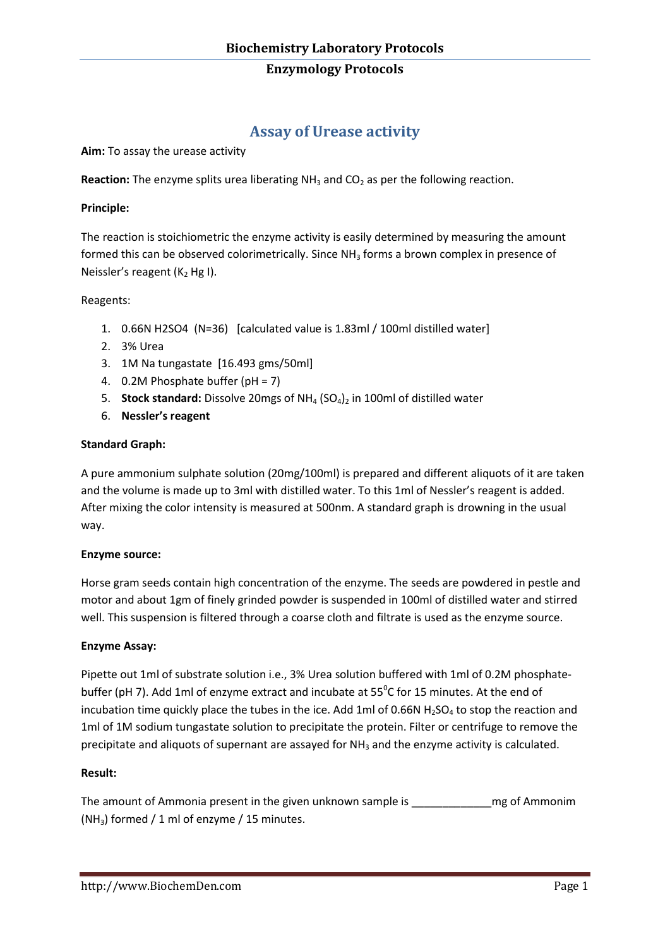## **Enzymology Protocols**

# **Assay of Urease activity**

**Aim:** To assay the urease activity

**Reaction:** The enzyme splits urea liberating NH<sub>3</sub> and CO<sub>2</sub> as per the following reaction.

## **Principle:**

The reaction is stoichiometric the enzyme activity is easily determined by measuring the amount formed this can be observed colorimetrically. Since NH<sub>3</sub> forms a brown complex in presence of Neissler's reagent ( $K<sub>2</sub>$  Hg I).

## Reagents:

- 1. 0.66N H2SO4 (N=36) [calculated value is 1.83ml / 100ml distilled water]
- 2. 3% Urea
- 3. 1M Na tungastate [16.493 gms/50ml]
- 4. 0.2M Phosphate buffer (pH = 7)
- 5. **Stock standard:** Dissolve 20mgs of NH<sub>4</sub> (SO<sub>4</sub>)<sub>2</sub> in 100ml of distilled water
- 6. **Nessler's reagent**

## **Standard Graph:**

A pure ammonium sulphate solution (20mg/100ml) is prepared and different aliquots of it are taken and the volume is made up to 3ml with distilled water. To this 1ml of Nessler's reagent is added. After mixing the color intensity is measured at 500nm. A standard graph is drowning in the usual way.

#### **Enzyme source:**

Horse gram seeds contain high concentration of the enzyme. The seeds are powdered in pestle and motor and about 1gm of finely grinded powder is suspended in 100ml of distilled water and stirred well. This suspension is filtered through a coarse cloth and filtrate is used as the enzyme source.

## **Enzyme Assay:**

Pipette out 1ml of substrate solution i.e., 3% Urea solution buffered with 1ml of 0.2M phosphatebuffer (pH 7). Add 1ml of enzyme extract and incubate at  $55^{\circ}$ C for 15 minutes. At the end of incubation time quickly place the tubes in the ice. Add 1ml of 0.66N  $H_2SO_4$  to stop the reaction and 1ml of 1M sodium tungastate solution to precipitate the protein. Filter or centrifuge to remove the precipitate and aliquots of supernant are assayed for NH<sub>3</sub> and the enzyme activity is calculated.

## **Result:**

The amount of Ammonia present in the given unknown sample is example is may of Ammonim (NH<sub>3</sub>) formed / 1 ml of enzyme / 15 minutes.